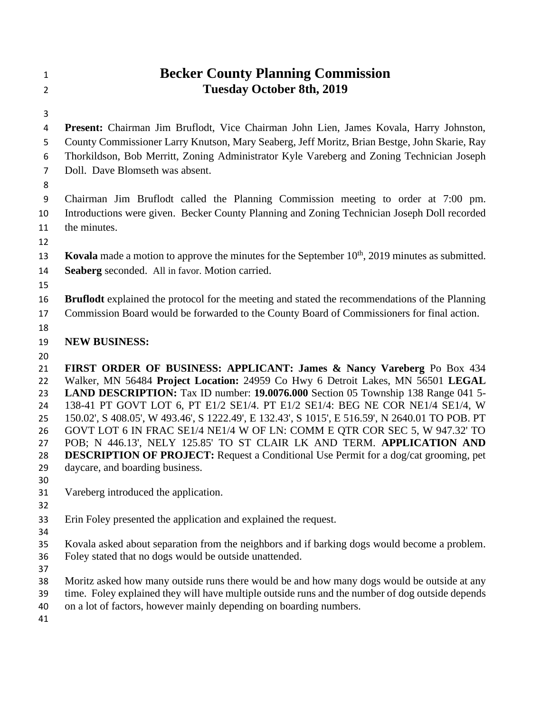## **Becker County Planning Commission Tuesday October 8th, 2019**

 **Present:** Chairman Jim Bruflodt, Vice Chairman John Lien, James Kovala, Harry Johnston, County Commissioner Larry Knutson, Mary Seaberg, Jeff Moritz, Brian Bestge, John Skarie, Ray Thorkildson, Bob Merritt, Zoning Administrator Kyle Vareberg and Zoning Technician Joseph Doll. Dave Blomseth was absent.

 Chairman Jim Bruflodt called the Planning Commission meeting to order at 7:00 pm. Introductions were given. Becker County Planning and Zoning Technician Joseph Doll recorded the minutes.

- 
- **Kovala** made a motion to approve the minutes for the September 10<sup>th</sup>, 2019 minutes as submitted.
- **Seaberg** seconded. All in favor. Motion carried.
- 
- **Bruflodt** explained the protocol for the meeting and stated the recommendations of the Planning Commission Board would be forwarded to the County Board of Commissioners for final action.
- 
- **NEW BUSINESS:**
- 

 **FIRST ORDER OF BUSINESS: APPLICANT: James & Nancy Vareberg** Po Box 434 Walker, MN 56484 **Project Location:** 24959 Co Hwy 6 Detroit Lakes, MN 56501 **LEGAL LAND DESCRIPTION:** Tax ID number: **19.0076.000** Section 05 Township 138 Range 041 5- 138-41 PT GOVT LOT 6, PT E1/2 SE1/4. PT E1/2 SE1/4: BEG NE COR NE1/4 SE1/4, W 150.02', S 408.05', W 493.46', S 1222.49', E 132.43', S 1015', E 516.59', N 2640.01 TO POB. PT GOVT LOT 6 IN FRAC SE1/4 NE1/4 W OF LN: COMM E QTR COR SEC 5, W 947.32' TO POB; N 446.13', NELY 125.85' TO ST CLAIR LK AND TERM. **APPLICATION AND DESCRIPTION OF PROJECT:** Request a Conditional Use Permit for a dog/cat grooming, pet daycare, and boarding business.

- 
- Vareberg introduced the application.
- 
- Erin Foley presented the application and explained the request.
- 
- Kovala asked about separation from the neighbors and if barking dogs would become a problem.
- Foley stated that no dogs would be outside unattended.
- 
- Moritz asked how many outside runs there would be and how many dogs would be outside at any
- time. Foley explained they will have multiple outside runs and the number of dog outside depends
- on a lot of factors, however mainly depending on boarding numbers.
-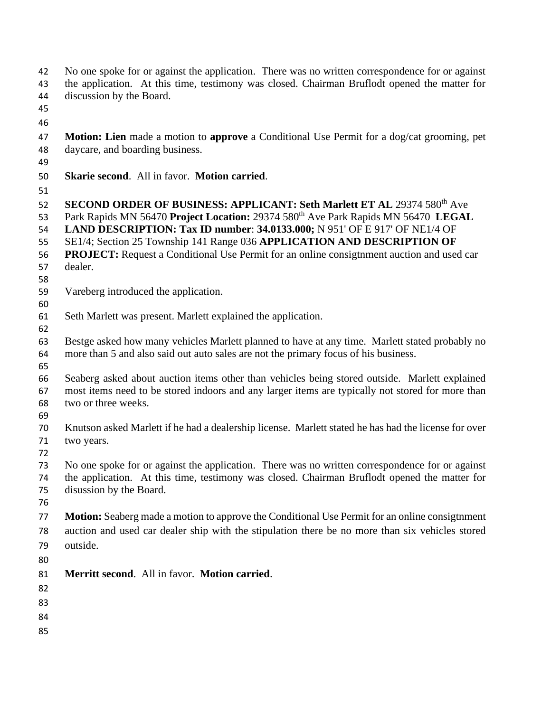- No one spoke for or against the application. There was no written correspondence for or against the application. At this time, testimony was closed. Chairman Bruflodt opened the matter for
- discussion by the Board.
- 
- 
- **Motion: Lien** made a motion to **approve** a Conditional Use Permit for a dog/cat grooming, pet daycare, and boarding business.
- 
- **Skarie second**. All in favor. **Motion carried**.
- 

52 **SECOND ORDER OF BUSINESS: APPLICANT: Seth Marlett ET AL 29374 580<sup>th</sup> Ave** 

- 53 Park Rapids MN 56470 **Project Location:** 29374 580<sup>th</sup> Ave Park Rapids MN 56470 **LEGAL**
- **LAND DESCRIPTION: Tax ID number**: **34.0133.000;** N 951' OF E 917' OF NE1/4 OF
- SE1/4; Section 25 Township 141 Range 036 **APPLICATION AND DESCRIPTION OF**
- **PROJECT:** Request a Conditional Use Permit for an online consigtnment auction and used car
- dealer.
- Vareberg introduced the application.
- Seth Marlett was present. Marlett explained the application.
- 

- Bestge asked how many vehicles Marlett planned to have at any time. Marlett stated probably no more than 5 and also said out auto sales are not the primary focus of his business.
- 
- Seaberg asked about auction items other than vehicles being stored outside. Marlett explained most items need to be stored indoors and any larger items are typically not stored for more than two or three weeks.
- 
- Knutson asked Marlett if he had a dealership license. Marlett stated he has had the license for over two years.
- 
- No one spoke for or against the application. There was no written correspondence for or against the application. At this time, testimony was closed. Chairman Bruflodt opened the matter for disussion by the Board.
- 
- **Motion:** Seaberg made a motion to approve the Conditional Use Permit for an online consigtnment auction and used car dealer ship with the stipulation there be no more than six vehicles stored outside.
- 
- **Merritt second**. All in favor. **Motion carried**.
- 
- 
- 
-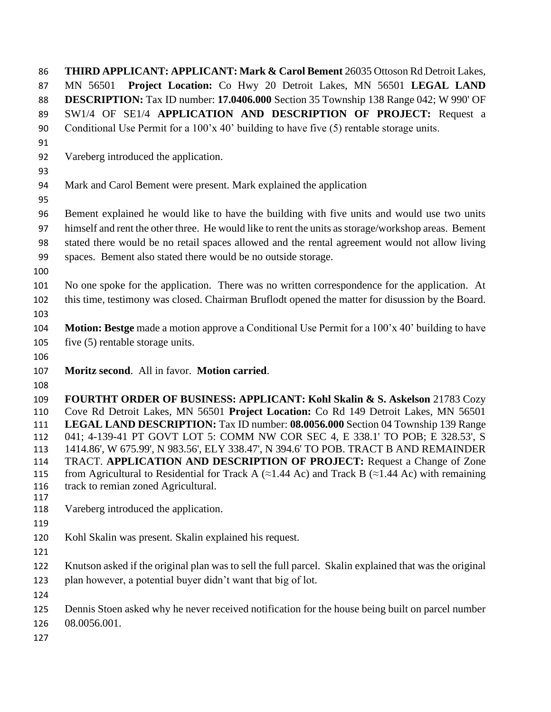**THIRD APPLICANT: APPLICANT: Mark & Carol Bement** 26035 Ottoson Rd Detroit Lakes, MN 56501 **Project Location:** Co Hwy 20 Detroit Lakes, MN 56501 **LEGAL LAND DESCRIPTION:** Tax ID number: **17.0406.000** Section 35 Township 138 Range 042; W 990' OF SW1/4 OF SE1/4 **APPLICATION AND DESCRIPTION OF PROJECT:** Request a 90 Conditional Use Permit for a 100'x 40' building to have five (5) rentable storage units. Vareberg introduced the application. Mark and Carol Bement were present. Mark explained the application Bement explained he would like to have the building with five units and would use two units himself and rent the other three. He would like to rent the units as storage/workshop areas. Bement stated there would be no retail spaces allowed and the rental agreement would not allow living spaces. Bement also stated there would be no outside storage. No one spoke for the application. There was no written correspondence for the application. At this time, testimony was closed. Chairman Bruflodt opened the matter for disussion by the Board. **Motion: Bestge** made a motion approve a Conditional Use Permit for a 100'x 40' building to have five (5) rentable storage units. **Moritz second**. All in favor. **Motion carried**. **FOURTHT ORDER OF BUSINESS: APPLICANT: Kohl Skalin & S. Askelson** 21783 Cozy Cove Rd Detroit Lakes, MN 56501 **Project Location:** Co Rd 149 Detroit Lakes, MN 56501 **LEGAL LAND DESCRIPTION:** Tax ID number: **08.0056.000** Section 04 Township 139 Range 041; 4-139-41 PT GOVT LOT 5: COMM NW COR SEC 4, E 338.1' TO POB; E 328.53', S 1414.86', W 675.99', N 983.56', ELY 338.47', N 394.6' TO POB. TRACT B AND REMAINDER TRACT. **APPLICATION AND DESCRIPTION OF PROJECT:** Request a Change of Zone 115 from Agricultural to Residential for Track A ( $\approx$ 1.44 Ac) and Track B ( $\approx$ 1.44 Ac) with remaining 116 track to remian zoned Agricultural. Vareberg introduced the application. Kohl Skalin was present. Skalin explained his request. Knutson asked if the original plan was to sell the full parcel. Skalin explained that was the original plan however, a potential buyer didn't want that big of lot. Dennis Stoen asked why he never received notification for the house being built on parcel number 08.0056.001.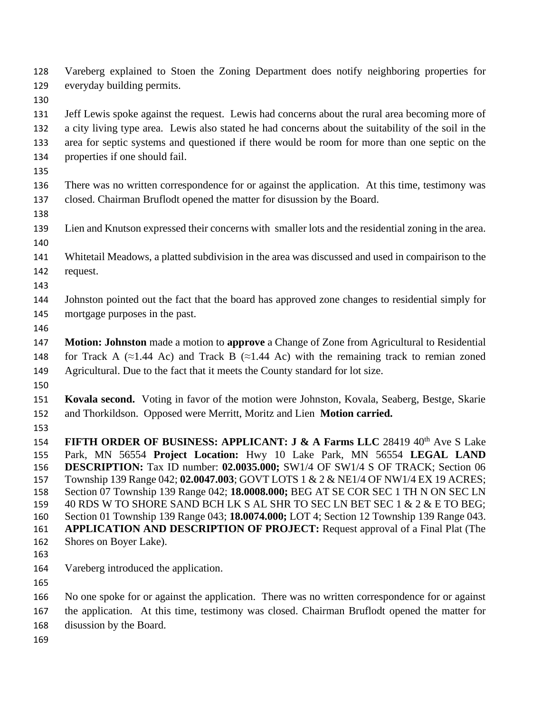Vareberg explained to Stoen the Zoning Department does notify neighboring properties for everyday building permits.

Jeff Lewis spoke against the request. Lewis had concerns about the rural area becoming more of

- a city living type area. Lewis also stated he had concerns about the suitability of the soil in the area for septic systems and questioned if there would be room for more than one septic on the properties if one should fail.
- 
- There was no written correspondence for or against the application. At this time, testimony was closed. Chairman Bruflodt opened the matter for disussion by the Board.
- 
- Lien and Knutson expressed their concerns with smaller lots and the residential zoning in the area.
- Whitetail Meadows, a platted subdivision in the area was discussed and used in compairison to the request.
- 
- Johnston pointed out the fact that the board has approved zone changes to residential simply for mortgage purposes in the past.
- 
- **Motion: Johnston** made a motion to **approve** a Change of Zone from Agricultural to Residential 148 for Track A (≈1.44 Ac) and Track B (≈1.44 Ac) with the remaining track to remian zoned Agricultural. Due to the fact that it meets the County standard for lot size.
- 
- **Kovala second.** Voting in favor of the motion were Johnston, Kovala, Seaberg, Bestge, Skarie and Thorkildson. Opposed were Merritt, Moritz and Lien **Motion carried.**
- 

**FIFTH ORDER OF BUSINESS: APPLICANT: J & A Farms LLC** 28419 40<sup>th</sup> Ave S Lake Park, MN 56554 **Project Location:** Hwy 10 Lake Park, MN 56554 **LEGAL LAND DESCRIPTION:** Tax ID number: **02.0035.000;** SW1/4 OF SW1/4 S OF TRACK; Section 06 Township 139 Range 042; **02.0047.003**; GOVT LOTS 1 & 2 & NE1/4 OF NW1/4 EX 19 ACRES; Section 07 Township 139 Range 042; **18.0008.000;** BEG AT SE COR SEC 1 TH N ON SEC LN 159 40 RDS W TO SHORE SAND BCH LK S AL SHR TO SEC LN BET SEC 1 & 2 & E TO BEG; Section 01 Township 139 Range 043; **18.0074.000;** LOT 4; Section 12 Township 139 Range 043. **APPLICATION AND DESCRIPTION OF PROJECT:** Request approval of a Final Plat (The Shores on Boyer Lake).

- 
- Vareberg introduced the application.
- 

 No one spoke for or against the application. There was no written correspondence for or against the application. At this time, testimony was closed. Chairman Bruflodt opened the matter for

- disussion by the Board.
-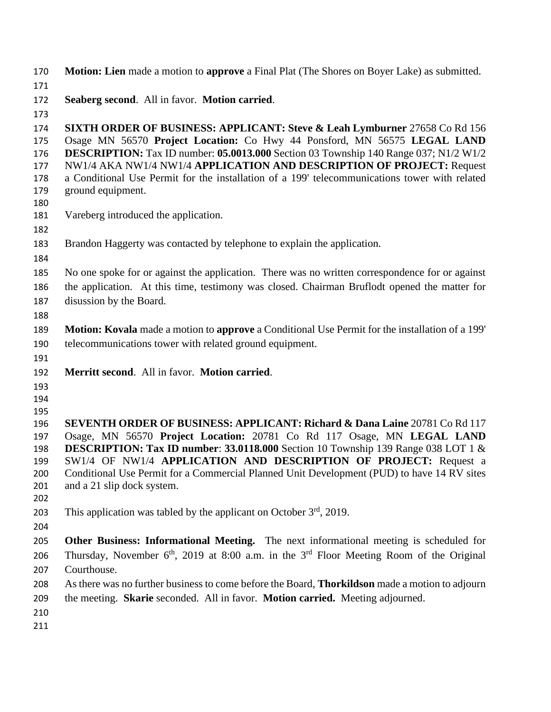- **Motion: Lien** made a motion to **approve** a Final Plat (The Shores on Boyer Lake) as submitted.
- **Seaberg second**. All in favor. **Motion carried**.
- 

 **SIXTH ORDER OF BUSINESS: APPLICANT: Steve & Leah Lymburner** 27658 Co Rd 156 Osage MN 56570 **Project Location:** Co Hwy 44 Ponsford, MN 56575 **LEGAL LAND DESCRIPTION:** Tax ID number: **05.0013.000** Section 03 Township 140 Range 037; N1/2 W1/2 NW1/4 AKA NW1/4 NW1/4 **APPLICATION AND DESCRIPTION OF PROJECT:** Request a Conditional Use Permit for the installation of a 199' telecommunications tower with related ground equipment. Vareberg introduced the application. Brandon Haggerty was contacted by telephone to explain the application. No one spoke for or against the application. There was no written correspondence for or against the application. At this time, testimony was closed. Chairman Bruflodt opened the matter for disussion by the Board. **Motion: Kovala** made a motion to **approve** a Conditional Use Permit for the installation of a 199' telecommunications tower with related ground equipment. **Merritt second**. All in favor. **Motion carried**. **SEVENTH ORDER OF BUSINESS: APPLICANT: Richard & Dana Laine** 20781 Co Rd 117 Osage, MN 56570 **Project Location:** 20781 Co Rd 117 Osage, MN **LEGAL LAND DESCRIPTION: Tax ID number**: **33.0118.000** Section 10 Township 139 Range 038 LOT 1 & SW1/4 OF NW1/4 **APPLICATION AND DESCRIPTION OF PROJECT:** Request a 200 Conditional Use Permit for a Commercial Planned Unit Development (PUD) to have 14 RV sites and a 21 slip dock system. 203 This application was tabled by the applicant on October  $3<sup>rd</sup>$ , 2019. **Other Business: Informational Meeting.** The next informational meeting is scheduled for 206 Thursday, November  $6<sup>th</sup>$ , 2019 at 8:00 a.m. in the  $3<sup>rd</sup>$  Floor Meeting Room of the Original Courthouse. As there was no further business to come before the Board, **Thorkildson** made a motion to adjourn the meeting. **Skarie** seconded. All in favor. **Motion carried.** Meeting adjourned.

- 
-